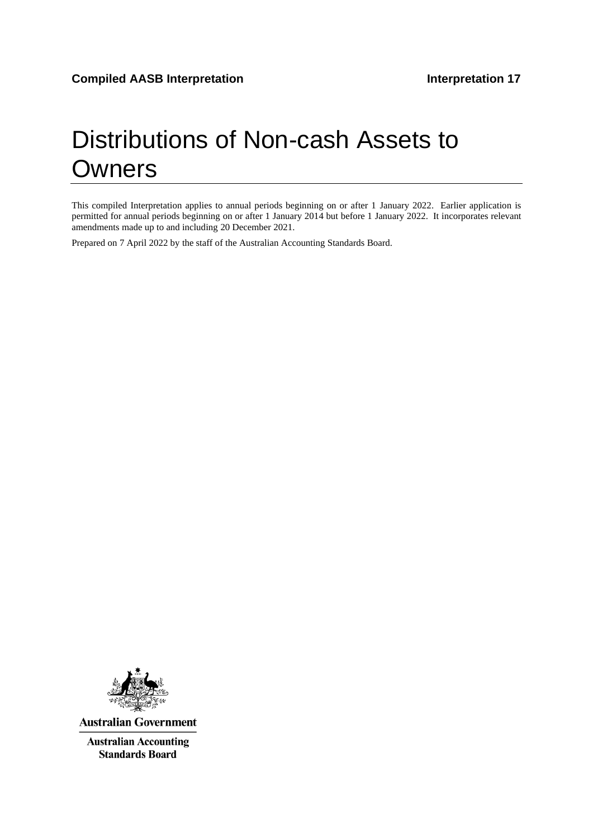# Distributions of Non-cash Assets to **Owners**

This compiled Interpretation applies to annual periods beginning on or after 1 January 2022. Earlier application is permitted for annual periods beginning on or after 1 January 2014 but before 1 January 2022. It incorporates relevant amendments made up to and including 20 December 2021.

Prepared on 7 April 2022 by the staff of the Australian Accounting Standards Board.



**Australian Government** 

**Australian Accounting Standards Board**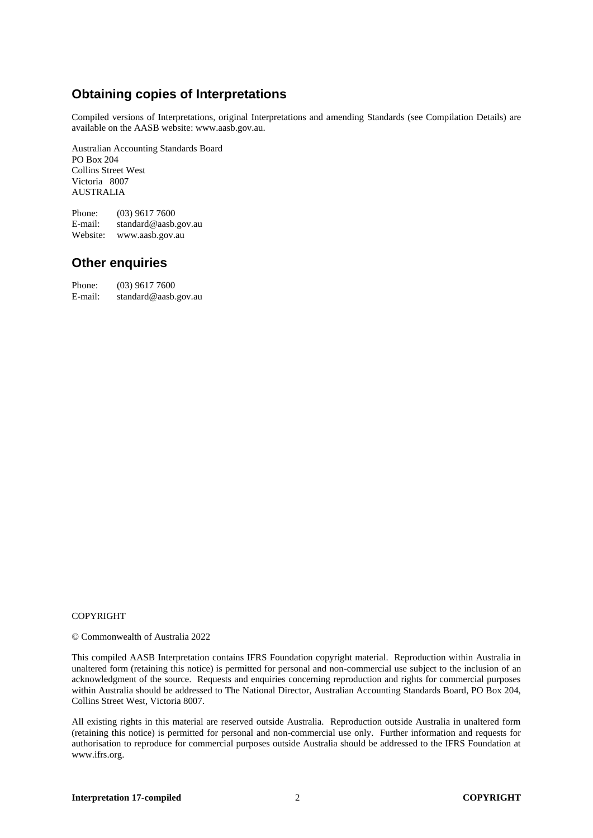# **Obtaining copies of Interpretations**

Compiled versions of Interpretations, original Interpretations and amending Standards (see Compilation Details) are available on the AASB website: www.aasb.gov.au.

Australian Accounting Standards Board PO Box 204 Collins Street West Victoria 8007 AUSTRALIA

Phone:  $(03)$  9617 7600<br>E-mail: standard@aasb. standard@aasb.gov.au Website: www.aasb.gov.au

#### **Other enquiries**

| Phone:  | $(03)$ 9617 7600     |
|---------|----------------------|
| E-mail: | standard@aasb.gov.au |

#### COPYRIGHT

© Commonwealth of Australia 2022

This compiled AASB Interpretation contains IFRS Foundation copyright material. Reproduction within Australia in unaltered form (retaining this notice) is permitted for personal and non-commercial use subject to the inclusion of an acknowledgment of the source. Requests and enquiries concerning reproduction and rights for commercial purposes within Australia should be addressed to The National Director, Australian Accounting Standards Board, PO Box 204, Collins Street West, Victoria 8007.

All existing rights in this material are reserved outside Australia. Reproduction outside Australia in unaltered form (retaining this notice) is permitted for personal and non-commercial use only. Further information and requests for authorisation to reproduce for commercial purposes outside Australia should be addressed to the IFRS Foundation at www.ifrs.org.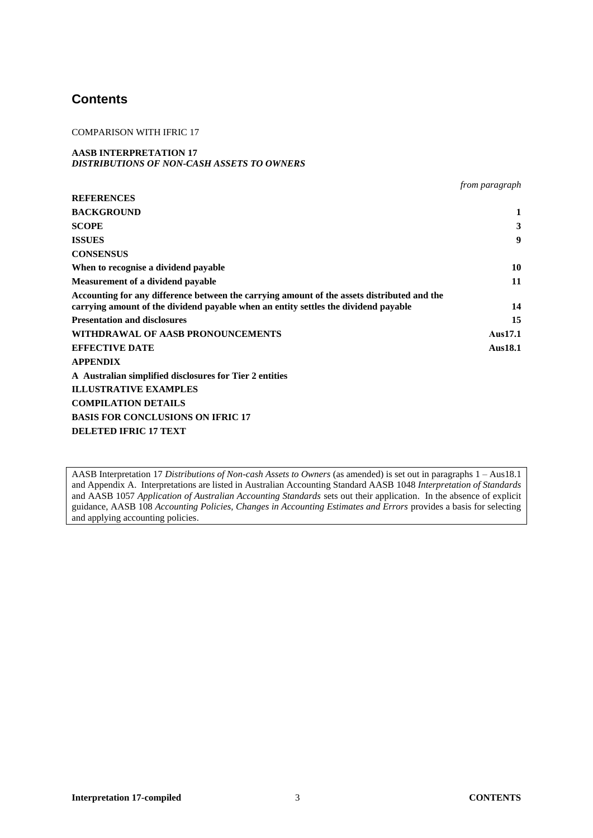#### **Contents**

**REFERENCES**

#### COMPARISON WITH IFRIC 17

#### **AASB INTERPRETATION 17** *DISTRIBUTIONS OF NON-CASH ASSETS TO OWNERS*

*from paragraph*

| <b>REFERENCES</b>                                                                                                                                                                  |                |
|------------------------------------------------------------------------------------------------------------------------------------------------------------------------------------|----------------|
| <b>BACKGROUND</b>                                                                                                                                                                  | 1              |
| <b>SCOPE</b>                                                                                                                                                                       | 3              |
| <b>ISSUES</b>                                                                                                                                                                      | 9              |
| <b>CONSENSUS</b>                                                                                                                                                                   |                |
| When to recognise a dividend payable                                                                                                                                               | 10             |
| <b>Measurement of a dividend payable</b>                                                                                                                                           | 11             |
| Accounting for any difference between the carrying amount of the assets distributed and the<br>carrying amount of the dividend payable when an entity settles the dividend payable | 14             |
| <b>Presentation and disclosures</b>                                                                                                                                                | 15             |
| WITHDRAWAL OF AASB PRONOUNCEMENTS                                                                                                                                                  | <b>Aus17.1</b> |
| <b>EFFECTIVE DATE</b>                                                                                                                                                              | <b>Aus18.1</b> |
| <b>APPENDIX</b>                                                                                                                                                                    |                |
| A Australian simplified disclosures for Tier 2 entities                                                                                                                            |                |
| <b>ILLUSTRATIVE EXAMPLES</b>                                                                                                                                                       |                |
| <b>COMPILATION DETAILS</b>                                                                                                                                                         |                |
| <b>BASIS FOR CONCLUSIONS ON IFRIC 17</b>                                                                                                                                           |                |
| <b>DELETED IFRIC 17 TEXT</b>                                                                                                                                                       |                |

AASB Interpretation 17 *Distributions of Non-cash Assets to Owners* (as amended) is set out in paragraphs 1 – Aus18.1 and Appendix A. Interpretations are listed in Australian Accounting Standard AASB 1048 *Interpretation of Standards* and AASB 1057 *Application of Australian Accounting Standards* sets out their application. In the absence of explicit guidance, AASB 108 *Accounting Policies, Changes in Accounting Estimates and Errors* provides a basis for selecting and applying accounting policies.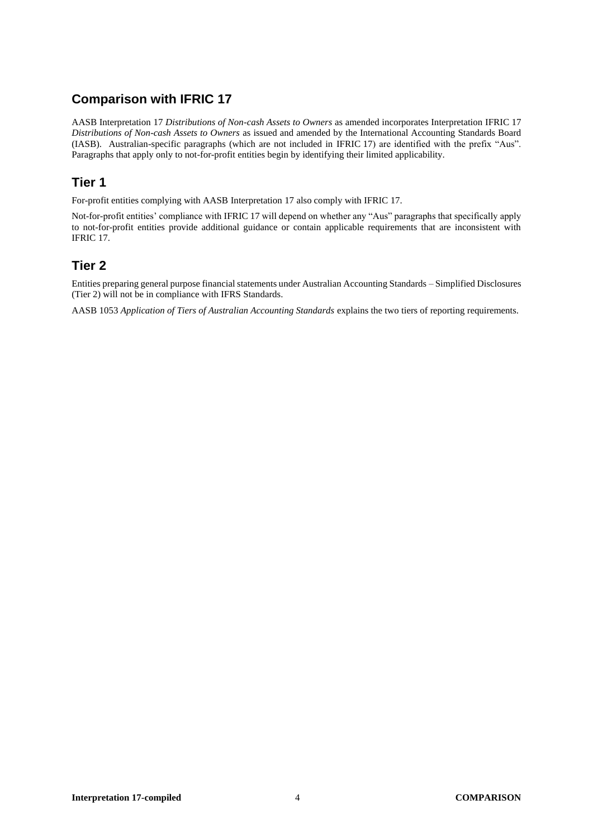# **Comparison with IFRIC 17**

AASB Interpretation 17 *Distributions of Non-cash Assets to Owners* as amended incorporates Interpretation IFRIC 17 *Distributions of Non-cash Assets to Owners* as issued and amended by the International Accounting Standards Board (IASB). Australian-specific paragraphs (which are not included in IFRIC 17) are identified with the prefix "Aus". Paragraphs that apply only to not-for-profit entities begin by identifying their limited applicability.

## **Tier 1**

For-profit entities complying with AASB Interpretation 17 also comply with IFRIC 17.

Not-for-profit entities' compliance with IFRIC 17 will depend on whether any "Aus" paragraphs that specifically apply to not-for-profit entities provide additional guidance or contain applicable requirements that are inconsistent with IFRIC 17.

# **Tier 2**

Entities preparing general purpose financial statements under Australian Accounting Standards – Simplified Disclosures (Tier 2) will not be in compliance with IFRS Standards.

AASB 1053 *Application of Tiers of Australian Accounting Standards* explains the two tiers of reporting requirements.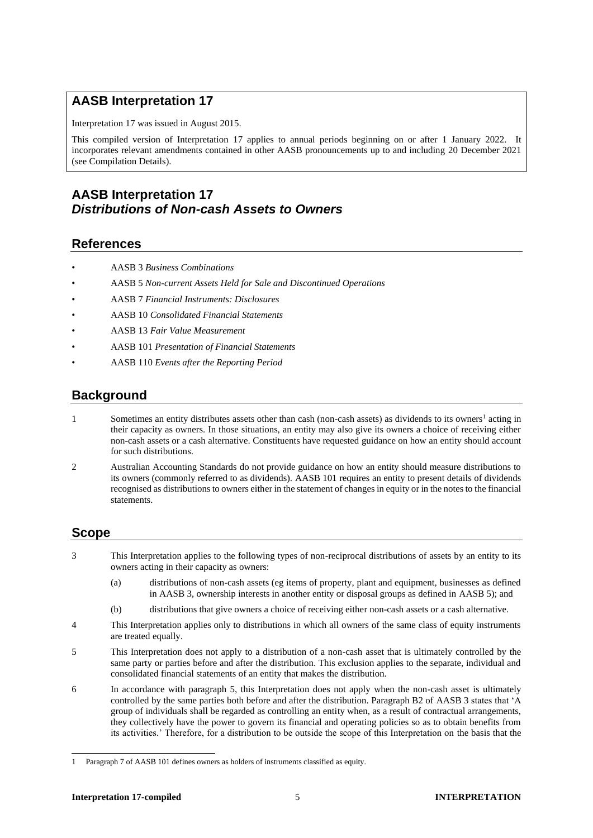## **AASB Interpretation 17**

Interpretation 17 was issued in August 2015.

This compiled version of Interpretation 17 applies to annual periods beginning on or after 1 January 2022. It incorporates relevant amendments contained in other AASB pronouncements up to and including 20 December 2021 (see Compilation Details).

# **AASB Interpretation 17** *Distributions of Non-cash Assets to Owners*

## **References**

- AASB 3 *Business Combinations*
- AASB 5 *Non-current Assets Held for Sale and Discontinued Operations*
- AASB 7 *Financial Instruments: Disclosures*
- AASB 10 *Consolidated Financial Statements*
- AASB 13 *Fair Value Measurement*
- AASB 101 *Presentation of Financial Statements*
- AASB 110 *Events after the Reporting Period*

## **Background**

- 1 Sometimes an entity distributes assets other than cash (non-cash assets) as dividends to its owners<sup>1</sup> acting in their capacity as owners. In those situations, an entity may also give its owners a choice of receiving either non-cash assets or a cash alternative. Constituents have requested guidance on how an entity should account for such distributions.
- 2 Australian Accounting Standards do not provide guidance on how an entity should measure distributions to its owners (commonly referred to as dividends). AASB 101 requires an entity to present details of dividends recognised as distributions to owners either in the statement of changes in equity or in the notes to the financial statements.

#### **Scope**

- 3 This Interpretation applies to the following types of non-reciprocal distributions of assets by an entity to its owners acting in their capacity as owners:
	- (a) distributions of non-cash assets (eg items of property, plant and equipment, businesses as defined in AASB 3, ownership interests in another entity or disposal groups as defined in AASB 5); and
	- (b) distributions that give owners a choice of receiving either non-cash assets or a cash alternative.
- 4 This Interpretation applies only to distributions in which all owners of the same class of equity instruments are treated equally.
- 5 This Interpretation does not apply to a distribution of a non-cash asset that is ultimately controlled by the same party or parties before and after the distribution. This exclusion applies to the separate, individual and consolidated financial statements of an entity that makes the distribution.
- 6 In accordance with paragraph 5, this Interpretation does not apply when the non-cash asset is ultimately controlled by the same parties both before and after the distribution. Paragraph B2 of AASB 3 states that 'A group of individuals shall be regarded as controlling an entity when, as a result of contractual arrangements, they collectively have the power to govern its financial and operating policies so as to obtain benefits from its activities.' Therefore, for a distribution to be outside the scope of this Interpretation on the basis that the

<sup>1</sup> Paragraph 7 of AASB 101 defines owners as holders of instruments classified as equity.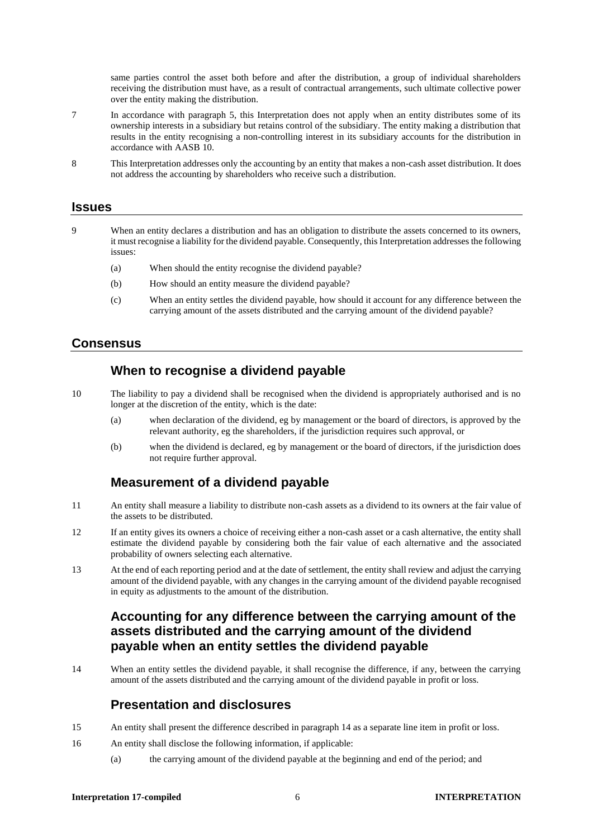same parties control the asset both before and after the distribution, a group of individual shareholders receiving the distribution must have, as a result of contractual arrangements, such ultimate collective power over the entity making the distribution.

- 7 In accordance with paragraph 5, this Interpretation does not apply when an entity distributes some of its ownership interests in a subsidiary but retains control of the subsidiary. The entity making a distribution that results in the entity recognising a non-controlling interest in its subsidiary accounts for the distribution in accordance with AASB 10.
- 8 This Interpretation addresses only the accounting by an entity that makes a non-cash asset distribution. It does not address the accounting by shareholders who receive such a distribution.

#### **Issues**

- 9 When an entity declares a distribution and has an obligation to distribute the assets concerned to its owners, it must recognise a liability for the dividend payable. Consequently, this Interpretation addresses the following issues:
	- (a) When should the entity recognise the dividend payable?
	- (b) How should an entity measure the dividend payable?
	- (c) When an entity settles the dividend payable, how should it account for any difference between the carrying amount of the assets distributed and the carrying amount of the dividend payable?

#### **Consensus**

#### **When to recognise a dividend payable**

- 10 The liability to pay a dividend shall be recognised when the dividend is appropriately authorised and is no longer at the discretion of the entity, which is the date:
	- (a) when declaration of the dividend, eg by management or the board of directors, is approved by the relevant authority, eg the shareholders, if the jurisdiction requires such approval, or
	- (b) when the dividend is declared, eg by management or the board of directors, if the jurisdiction does not require further approval.

#### **Measurement of a dividend payable**

- 11 An entity shall measure a liability to distribute non-cash assets as a dividend to its owners at the fair value of the assets to be distributed.
- 12 If an entity gives its owners a choice of receiving either a non-cash asset or a cash alternative, the entity shall estimate the dividend payable by considering both the fair value of each alternative and the associated probability of owners selecting each alternative.
- 13 At the end of each reporting period and at the date of settlement, the entity shall review and adjust the carrying amount of the dividend payable, with any changes in the carrying amount of the dividend payable recognised in equity as adjustments to the amount of the distribution.

#### **Accounting for any difference between the carrying amount of the assets distributed and the carrying amount of the dividend payable when an entity settles the dividend payable**

14 When an entity settles the dividend payable, it shall recognise the difference, if any, between the carrying amount of the assets distributed and the carrying amount of the dividend payable in profit or loss.

#### **Presentation and disclosures**

- 15 An entity shall present the difference described in paragraph 14 as a separate line item in profit or loss.
- 16 An entity shall disclose the following information, if applicable:
	- (a) the carrying amount of the dividend payable at the beginning and end of the period; and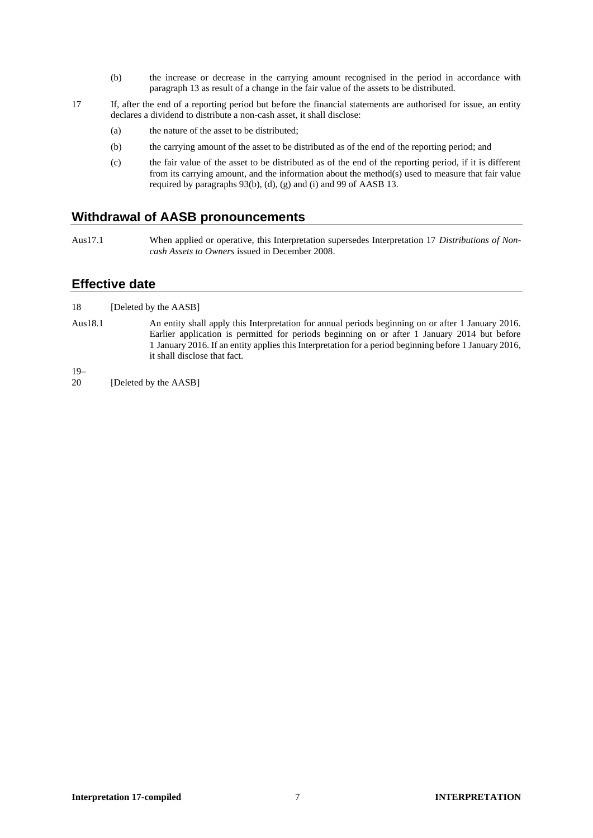- (b) the increase or decrease in the carrying amount recognised in the period in accordance with paragraph 13 as result of a change in the fair value of the assets to be distributed.
- 17 If, after the end of a reporting period but before the financial statements are authorised for issue, an entity declares a dividend to distribute a non-cash asset, it shall disclose:
	- (a) the nature of the asset to be distributed;
	- (b) the carrying amount of the asset to be distributed as of the end of the reporting period; and
	- (c) the fair value of the asset to be distributed as of the end of the reporting period, if it is different from its carrying amount, and the information about the method(s) used to measure that fair value required by paragraphs 93(b), (d), (g) and (i) and 99 of AASB 13.

#### **Withdrawal of AASB pronouncements**

Aus17.1 When applied or operative, this Interpretation supersedes Interpretation 17 *Distributions of Noncash Assets to Owners* issued in December 2008.

#### **Effective date**

18 [Deleted by the AASB]

Aus18.1 An entity shall apply this Interpretation for annual periods beginning on or after 1 January 2016. Earlier application is permitted for periods beginning on or after 1 January 2014 but before 1 January 2016. If an entity applies this Interpretation for a period beginning before 1 January 2016, it shall disclose that fact.

19–

20 [Deleted by the AASB]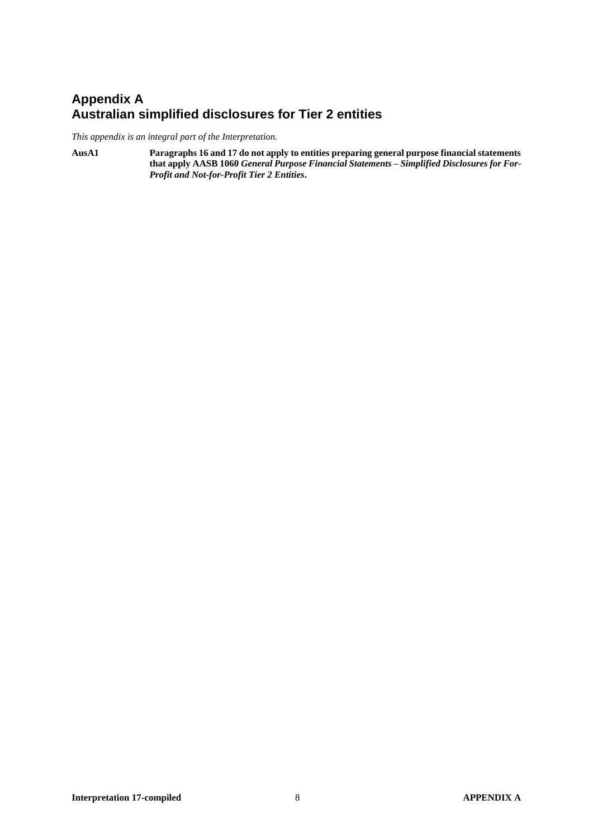## **Appendix A Australian simplified disclosures for Tier 2 entities**

*This appendix is an integral part of the Interpretation.*

**AusA1 Paragraphs 16 and 17 do not apply to entities preparing general purpose financial statements that apply AASB 1060** *General Purpose Financial Statements – Simplified Disclosures for For-Profit and Not-for-Profit Tier 2 Entities***.**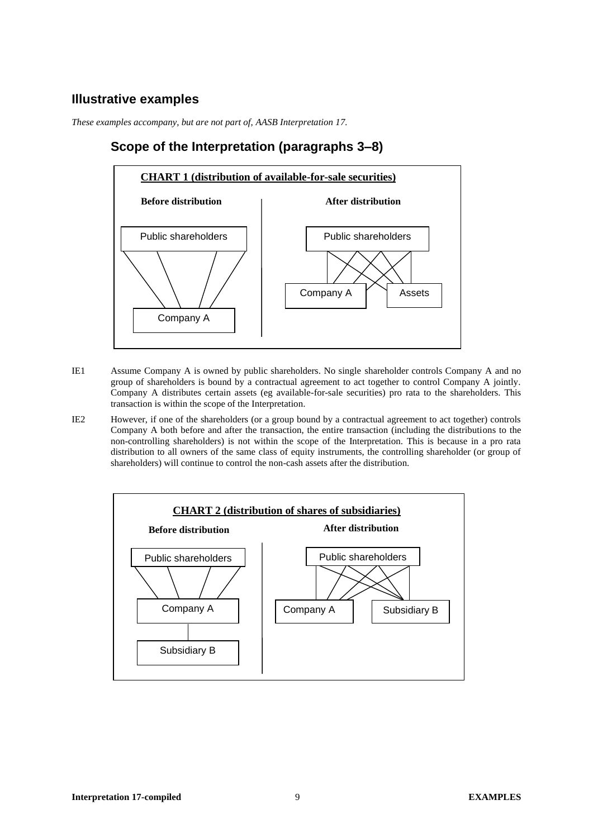## **Illustrative examples**

*These examples accompany, but are not part of, AASB Interpretation 17.*



# **Scope of the Interpretation (paragraphs 3–8)**

- IE1 Assume Company A is owned by public shareholders. No single shareholder controls Company A and no group of shareholders is bound by a contractual agreement to act together to control Company A jointly. Company A distributes certain assets (eg available-for-sale securities) pro rata to the shareholders. This transaction is within the scope of the Interpretation.
- IE2 However, if one of the shareholders (or a group bound by a contractual agreement to act together) controls Company A both before and after the transaction, the entire transaction (including the distributions to the non-controlling shareholders) is not within the scope of the Interpretation. This is because in a pro rata distribution to all owners of the same class of equity instruments, the controlling shareholder (or group of shareholders) will continue to control the non-cash assets after the distribution.

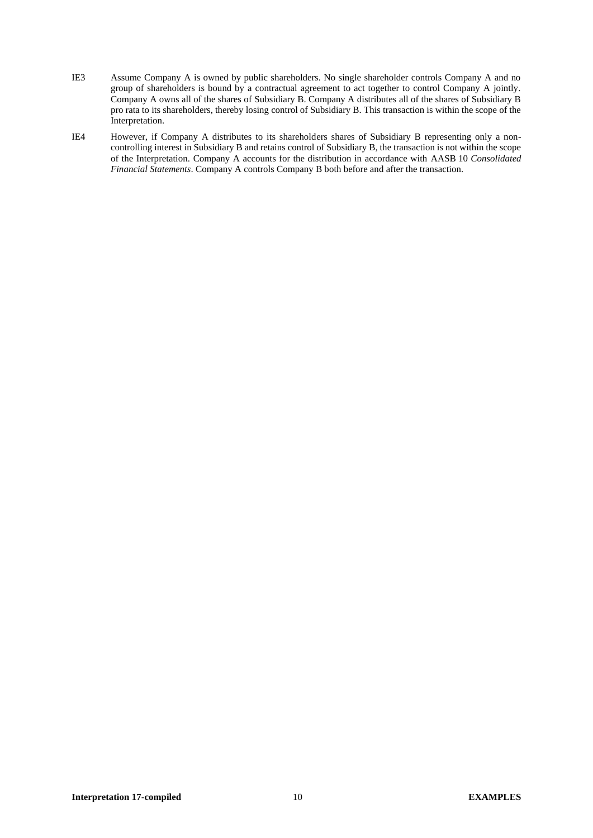- IE3 Assume Company A is owned by public shareholders. No single shareholder controls Company A and no group of shareholders is bound by a contractual agreement to act together to control Company A jointly. Company A owns all of the shares of Subsidiary B. Company A distributes all of the shares of Subsidiary B pro rata to its shareholders, thereby losing control of Subsidiary B. This transaction is within the scope of the Interpretation.
- IE4 However, if Company A distributes to its shareholders shares of Subsidiary B representing only a noncontrolling interest in Subsidiary B and retains control of Subsidiary B, the transaction is not within the scope of the Interpretation. Company A accounts for the distribution in accordance with AASB 10 *Consolidated Financial Statements*. Company A controls Company B both before and after the transaction.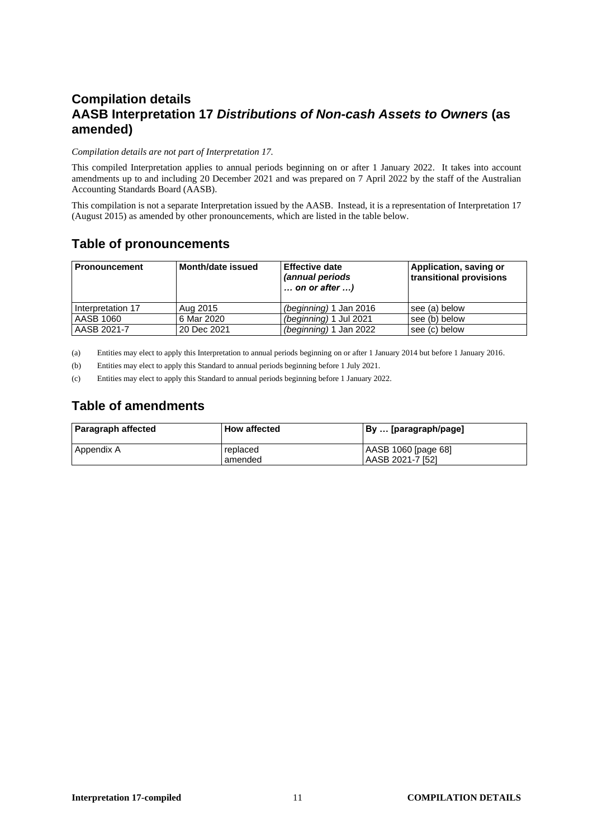# **Compilation details AASB Interpretation 17** *Distributions of Non-cash Assets to Owners* **(as amended)**

#### *Compilation details are not part of Interpretation 17.*

This compiled Interpretation applies to annual periods beginning on or after 1 January 2022. It takes into account amendments up to and including 20 December 2021 and was prepared on 7 April 2022 by the staff of the Australian Accounting Standards Board (AASB).

This compilation is not a separate Interpretation issued by the AASB. Instead, it is a representation of Interpretation 17 (August 2015) as amended by other pronouncements, which are listed in the table below.

# **Table of pronouncements**

| Pronouncement     | Month/date issued | <b>Effective date</b><br>(annual periods<br>$\ldots$ on or after $\ldots$ ) | Application, saving or<br>transitional provisions |
|-------------------|-------------------|-----------------------------------------------------------------------------|---------------------------------------------------|
| Interpretation 17 | Aug 2015          | (beginning) 1 Jan 2016                                                      | see (a) below                                     |
| AASB 1060         | 6 Mar 2020        | (beginning) 1 Jul 2021                                                      | see (b) below                                     |
| AASB 2021-7       | 20 Dec 2021       | (beginning) 1 Jan 2022                                                      | see (c) below                                     |

(a) Entities may elect to apply this Interpretation to annual periods beginning on or after 1 January 2014 but before 1 January 2016.

(b) Entities may elect to apply this Standard to annual periods beginning before 1 July 2021.

(c) Entities may elect to apply this Standard to annual periods beginning before 1 January 2022.

## **Table of amendments**

| <b>Paragraph affected</b> | <b>How affected</b> | <b>By </b> [paragraph/page] |
|---------------------------|---------------------|-----------------------------|
| Appendix A                | replaced            | AASB 1060 [page 68]         |
|                           | lamended            | AASB 2021-7 [52]            |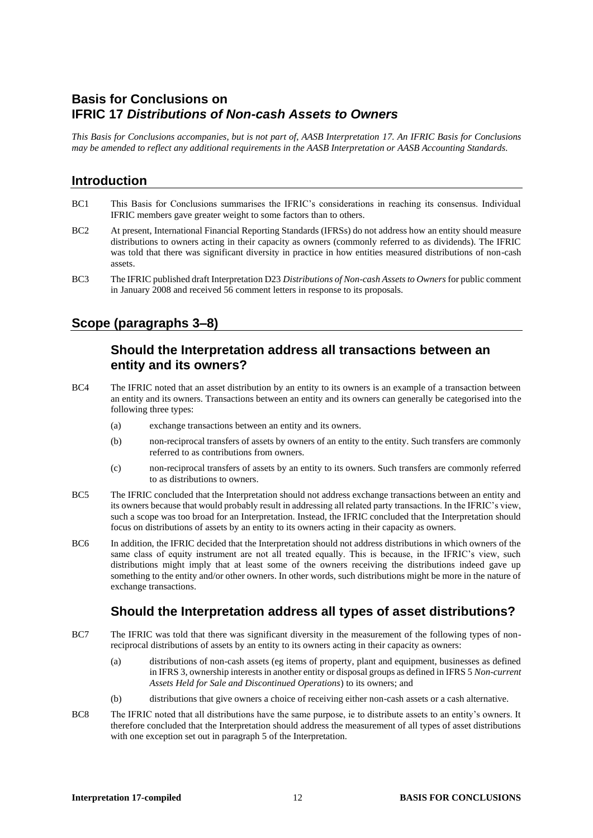## **Basis for Conclusions on IFRIC 17** *Distributions of Non-cash Assets to Owners*

*This Basis for Conclusions accompanies, but is not part of, AASB Interpretation 17. An IFRIC Basis for Conclusions may be amended to reflect any additional requirements in the AASB Interpretation or AASB Accounting Standards.*

#### **Introduction**

- BC1 This Basis for Conclusions summarises the IFRIC's considerations in reaching its consensus. Individual IFRIC members gave greater weight to some factors than to others.
- BC2 At present, International Financial Reporting Standards (IFRSs) do not address how an entity should measure distributions to owners acting in their capacity as owners (commonly referred to as dividends). The IFRIC was told that there was significant diversity in practice in how entities measured distributions of non-cash assets.
- BC3 The IFRIC published draft Interpretation D23 *Distributions of Non-cash Assets to Owners* for public comment in January 2008 and received 56 comment letters in response to its proposals.

#### **Scope (paragraphs 3–8)**

#### **Should the Interpretation address all transactions between an entity and its owners?**

- BC4 The IFRIC noted that an asset distribution by an entity to its owners is an example of a transaction between an entity and its owners. Transactions between an entity and its owners can generally be categorised into the following three types:
	- (a) exchange transactions between an entity and its owners.
	- (b) non-reciprocal transfers of assets by owners of an entity to the entity. Such transfers are commonly referred to as contributions from owners.
	- (c) non-reciprocal transfers of assets by an entity to its owners. Such transfers are commonly referred to as distributions to owners.
- BC5 The IFRIC concluded that the Interpretation should not address exchange transactions between an entity and its owners because that would probably result in addressing all related party transactions. In the IFRIC's view, such a scope was too broad for an Interpretation. Instead, the IFRIC concluded that the Interpretation should focus on distributions of assets by an entity to its owners acting in their capacity as owners.
- BC6 In addition, the IFRIC decided that the Interpretation should not address distributions in which owners of the same class of equity instrument are not all treated equally. This is because, in the IFRIC's view, such distributions might imply that at least some of the owners receiving the distributions indeed gave up something to the entity and/or other owners. In other words, such distributions might be more in the nature of exchange transactions.

#### **Should the Interpretation address all types of asset distributions?**

- BC7 The IFRIC was told that there was significant diversity in the measurement of the following types of nonreciprocal distributions of assets by an entity to its owners acting in their capacity as owners:
	- (a) distributions of non-cash assets (eg items of property, plant and equipment, businesses as defined in IFRS 3, ownership interests in another entity or disposal groups as defined in IFRS 5 *Non-current Assets Held for Sale and Discontinued Operations*) to its owners; and
	- (b) distributions that give owners a choice of receiving either non-cash assets or a cash alternative.
- BC8 The IFRIC noted that all distributions have the same purpose, ie to distribute assets to an entity's owners. It therefore concluded that the Interpretation should address the measurement of all types of asset distributions with one exception set out in paragraph 5 of the Interpretation.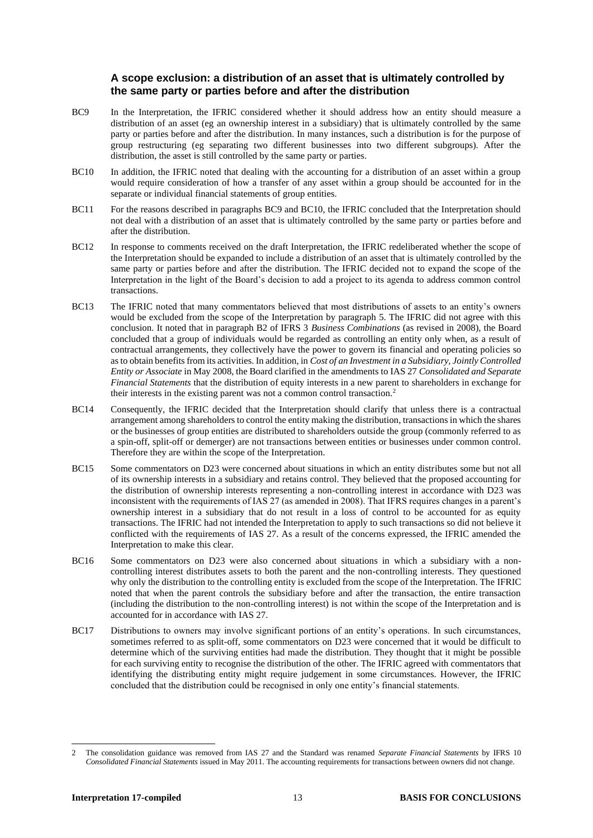#### **A scope exclusion: a distribution of an asset that is ultimately controlled by the same party or parties before and after the distribution**

- BC9 In the Interpretation, the IFRIC considered whether it should address how an entity should measure a distribution of an asset (eg an ownership interest in a subsidiary) that is ultimately controlled by the same party or parties before and after the distribution. In many instances, such a distribution is for the purpose of group restructuring (eg separating two different businesses into two different subgroups). After the distribution, the asset is still controlled by the same party or parties.
- BC10 In addition, the IFRIC noted that dealing with the accounting for a distribution of an asset within a group would require consideration of how a transfer of any asset within a group should be accounted for in the separate or individual financial statements of group entities.
- BC11 For the reasons described in paragraphs BC9 and BC10, the IFRIC concluded that the Interpretation should not deal with a distribution of an asset that is ultimately controlled by the same party or parties before and after the distribution.
- BC12 In response to comments received on the draft Interpretation, the IFRIC redeliberated whether the scope of the Interpretation should be expanded to include a distribution of an asset that is ultimately controlled by the same party or parties before and after the distribution. The IFRIC decided not to expand the scope of the Interpretation in the light of the Board's decision to add a project to its agenda to address common control transactions.
- BC13 The IFRIC noted that many commentators believed that most distributions of assets to an entity's owners would be excluded from the scope of the Interpretation by paragraph 5. The IFRIC did not agree with this conclusion. It noted that in paragraph B2 of IFRS 3 *Business Combinations* (as revised in 2008), the Board concluded that a group of individuals would be regarded as controlling an entity only when, as a result of contractual arrangements, they collectively have the power to govern its financial and operating policies so as to obtain benefits from its activities. In addition, in *Cost of an Investment in a Subsidiary, Jointly Controlled Entity or Associate* in May 2008, the Board clarified in the amendments to IAS 27 *Consolidated and Separate Financial Statements* that the distribution of equity interests in a new parent to shareholders in exchange for their interests in the existing parent was not a common control transaction.<sup>2</sup>
- BC14 Consequently, the IFRIC decided that the Interpretation should clarify that unless there is a contractual arrangement among shareholders to control the entity making the distribution, transactions in which the shares or the businesses of group entities are distributed to shareholders outside the group (commonly referred to as a spin-off, split-off or demerger) are not transactions between entities or businesses under common control. Therefore they are within the scope of the Interpretation.
- BC15 Some commentators on D23 were concerned about situations in which an entity distributes some but not all of its ownership interests in a subsidiary and retains control. They believed that the proposed accounting for the distribution of ownership interests representing a non-controlling interest in accordance with D23 was inconsistent with the requirements of IAS 27 (as amended in 2008). That IFRS requires changes in a parent's ownership interest in a subsidiary that do not result in a loss of control to be accounted for as equity transactions. The IFRIC had not intended the Interpretation to apply to such transactions so did not believe it conflicted with the requirements of IAS 27. As a result of the concerns expressed, the IFRIC amended the Interpretation to make this clear.
- BC16 Some commentators on D23 were also concerned about situations in which a subsidiary with a noncontrolling interest distributes assets to both the parent and the non-controlling interests. They questioned why only the distribution to the controlling entity is excluded from the scope of the Interpretation. The IFRIC noted that when the parent controls the subsidiary before and after the transaction, the entire transaction (including the distribution to the non-controlling interest) is not within the scope of the Interpretation and is accounted for in accordance with IAS 27.
- BC17 Distributions to owners may involve significant portions of an entity's operations. In such circumstances, sometimes referred to as split-off, some commentators on D23 were concerned that it would be difficult to determine which of the surviving entities had made the distribution. They thought that it might be possible for each surviving entity to recognise the distribution of the other. The IFRIC agreed with commentators that identifying the distributing entity might require judgement in some circumstances. However, the IFRIC concluded that the distribution could be recognised in only one entity's financial statements.

<sup>2</sup> The consolidation guidance was removed from IAS 27 and the Standard was renamed *Separate Financial Statements* by IFRS 10 *Consolidated Financial Statements* issued in May 2011. The accounting requirements for transactions between owners did not change.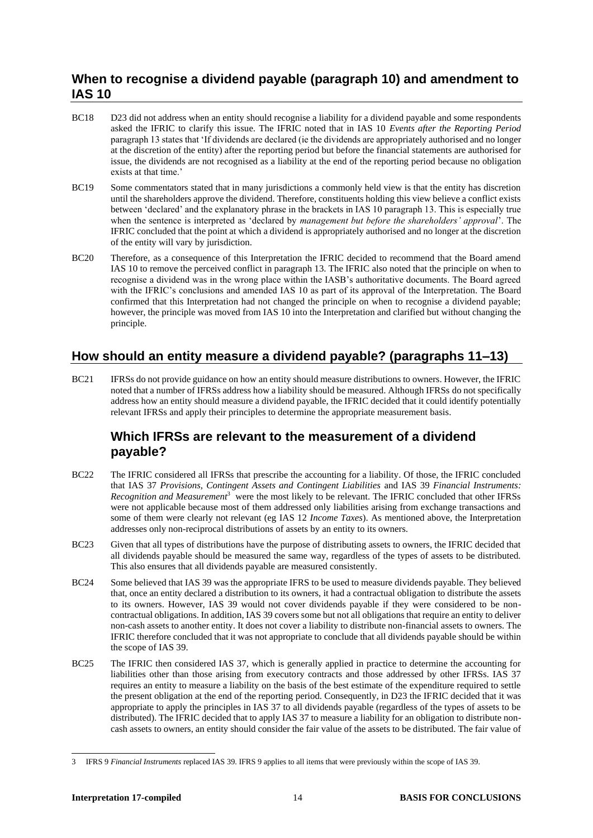#### **When to recognise a dividend payable (paragraph 10) and amendment to IAS 10**

- BC18 D23 did not address when an entity should recognise a liability for a dividend payable and some respondents asked the IFRIC to clarify this issue. The IFRIC noted that in IAS 10 *Events after the Reporting Period* paragraph 13 states that 'If dividends are declared (ie the dividends are appropriately authorised and no longer at the discretion of the entity) after the reporting period but before the financial statements are authorised for issue, the dividends are not recognised as a liability at the end of the reporting period because no obligation exists at that time.'
- BC19 Some commentators stated that in many jurisdictions a commonly held view is that the entity has discretion until the shareholders approve the dividend. Therefore, constituents holding this view believe a conflict exists between 'declared' and the explanatory phrase in the brackets in IAS 10 paragraph 13. This is especially true when the sentence is interpreted as 'declared by *management but before the shareholders' approval*'. The IFRIC concluded that the point at which a dividend is appropriately authorised and no longer at the discretion of the entity will vary by jurisdiction.
- BC20 Therefore, as a consequence of this Interpretation the IFRIC decided to recommend that the Board amend IAS 10 to remove the perceived conflict in paragraph 13. The IFRIC also noted that the principle on when to recognise a dividend was in the wrong place within the IASB's authoritative documents. The Board agreed with the IFRIC's conclusions and amended IAS 10 as part of its approval of the Interpretation. The Board confirmed that this Interpretation had not changed the principle on when to recognise a dividend payable; however, the principle was moved from IAS 10 into the Interpretation and clarified but without changing the principle.

## **How should an entity measure a dividend payable? (paragraphs 11–13)**

BC21 IFRSs do not provide guidance on how an entity should measure distributions to owners. However, the IFRIC noted that a number of IFRSs address how a liability should be measured. Although IFRSs do not specifically address how an entity should measure a dividend payable, the IFRIC decided that it could identify potentially relevant IFRSs and apply their principles to determine the appropriate measurement basis.

#### **Which IFRSs are relevant to the measurement of a dividend payable?**

- BC22 The IFRIC considered all IFRSs that prescribe the accounting for a liability. Of those, the IFRIC concluded that IAS 37 *Provisions, Contingent Assets and Contingent Liabilities* and IAS 39 *Financial Instruments:*  Recognition and Measurement<sup>3</sup> were the most likely to be relevant. The IFRIC concluded that other IFRSs were not applicable because most of them addressed only liabilities arising from exchange transactions and some of them were clearly not relevant (eg IAS 12 *Income Taxes*). As mentioned above, the Interpretation addresses only non-reciprocal distributions of assets by an entity to its owners.
- BC23 Given that all types of distributions have the purpose of distributing assets to owners, the IFRIC decided that all dividends payable should be measured the same way, regardless of the types of assets to be distributed. This also ensures that all dividends payable are measured consistently.
- BC24 Some believed that IAS 39 was the appropriate IFRS to be used to measure dividends payable. They believed that, once an entity declared a distribution to its owners, it had a contractual obligation to distribute the assets to its owners. However, IAS 39 would not cover dividends payable if they were considered to be noncontractual obligations. In addition, IAS 39 covers some but not all obligations that require an entity to deliver non-cash assets to another entity. It does not cover a liability to distribute non-financial assets to owners. The IFRIC therefore concluded that it was not appropriate to conclude that all dividends payable should be within the scope of IAS 39.
- BC25 The IFRIC then considered IAS 37, which is generally applied in practice to determine the accounting for liabilities other than those arising from executory contracts and those addressed by other IFRSs. IAS 37 requires an entity to measure a liability on the basis of the best estimate of the expenditure required to settle the present obligation at the end of the reporting period. Consequently, in D23 the IFRIC decided that it was appropriate to apply the principles in IAS 37 to all dividends payable (regardless of the types of assets to be distributed). The IFRIC decided that to apply IAS 37 to measure a liability for an obligation to distribute noncash assets to owners, an entity should consider the fair value of the assets to be distributed. The fair value of

<sup>3</sup> IFRS 9 *Financial Instruments* replaced IAS 39. IFRS 9 applies to all items that were previously within the scope of IAS 39.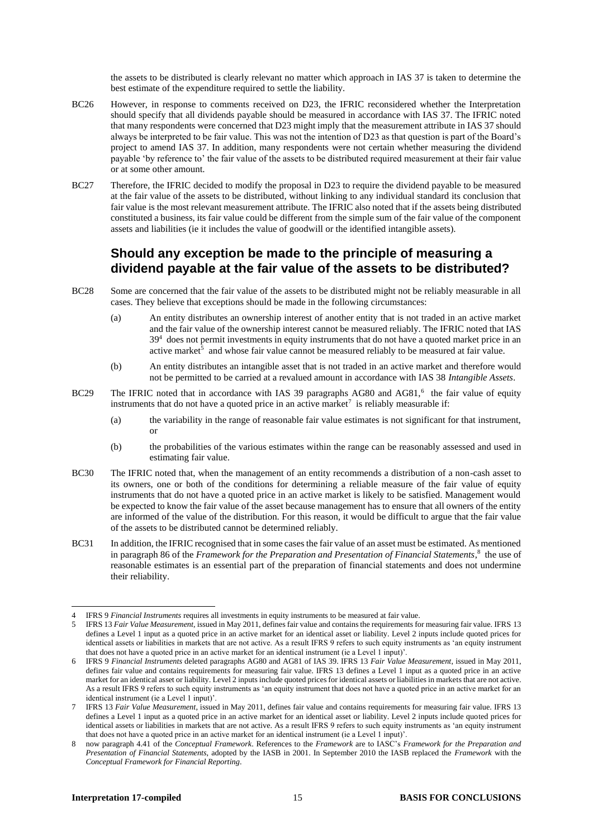the assets to be distributed is clearly relevant no matter which approach in IAS 37 is taken to determine the best estimate of the expenditure required to settle the liability.

- BC26 However, in response to comments received on D23, the IFRIC reconsidered whether the Interpretation should specify that all dividends payable should be measured in accordance with IAS 37. The IFRIC noted that many respondents were concerned that D23 might imply that the measurement attribute in IAS 37 should always be interpreted to be fair value. This was not the intention of D23 as that question is part of the Board's project to amend IAS 37. In addition, many respondents were not certain whether measuring the dividend payable 'by reference to' the fair value of the assets to be distributed required measurement at their fair value or at some other amount.
- BC27 Therefore, the IFRIC decided to modify the proposal in D23 to require the dividend payable to be measured at the fair value of the assets to be distributed, without linking to any individual standard its conclusion that fair value is the most relevant measurement attribute. The IFRIC also noted that if the assets being distributed constituted a business, its fair value could be different from the simple sum of the fair value of the component assets and liabilities (ie it includes the value of goodwill or the identified intangible assets).

#### **Should any exception be made to the principle of measuring a dividend payable at the fair value of the assets to be distributed?**

- BC28 Some are concerned that the fair value of the assets to be distributed might not be reliably measurable in all cases. They believe that exceptions should be made in the following circumstances:
	- (a) An entity distributes an ownership interest of another entity that is not traded in an active market and the fair value of the ownership interest cannot be measured reliably. The IFRIC noted that IAS 39<sup>4</sup> does not permit investments in equity instruments that do not have a quoted market price in an active market<sup>5</sup> and whose fair value cannot be measured reliably to be measured at fair value.
	- (b) An entity distributes an intangible asset that is not traded in an active market and therefore would not be permitted to be carried at a revalued amount in accordance with IAS 38 *Intangible Assets*.
- BC29 The IFRIC noted that in accordance with IAS 39 paragraphs AG80 and AG81,<sup>6</sup> the fair value of equity instruments that do not have a quoted price in an active market<sup>7</sup> is reliably measurable if:
	- (a) the variability in the range of reasonable fair value estimates is not significant for that instrument, or
	- (b) the probabilities of the various estimates within the range can be reasonably assessed and used in estimating fair value.
- BC30 The IFRIC noted that, when the management of an entity recommends a distribution of a non-cash asset to its owners, one or both of the conditions for determining a reliable measure of the fair value of equity instruments that do not have a quoted price in an active market is likely to be satisfied. Management would be expected to know the fair value of the asset because management has to ensure that all owners of the entity are informed of the value of the distribution. For this reason, it would be difficult to argue that the fair value of the assets to be distributed cannot be determined reliably.
- BC31 In addition, the IFRIC recognised that in some cases the fair value of an asset must be estimated. As mentioned in paragraph 86 of the *Framework for the Preparation and Presentation of Financial Statements*,<sup>8</sup> the use of reasonable estimates is an essential part of the preparation of financial statements and does not undermine their reliability.

<sup>4</sup> IFRS 9 *Financial Instruments* requires all investments in equity instruments to be measured at fair value.

<sup>5</sup> IFRS 13 *Fair Value Measurement*, issued in May 2011, defines fair value and contains the requirements for measuring fair value. IFRS 13 defines a Level 1 input as a quoted price in an active market for an identical asset or liability. Level 2 inputs include quoted prices for identical assets or liabilities in markets that are not active. As a result IFRS 9 refers to such equity instruments as 'an equity instrument that does not have a quoted price in an active market for an identical instrument (ie a Level 1 input)'.

<sup>6</sup> IFRS 9 *Financial Instruments* deleted paragraphs AG80 and AG81 of IAS 39. IFRS 13 *Fair Value Measurement*, issued in May 2011, defines fair value and contains requirements for measuring fair value. IFRS 13 defines a Level 1 input as a quoted price in an active market for an identical asset or liability. Level 2 inputs include quoted prices for identical assets or liabilities in markets that are not active. As a result IFRS 9 refers to such equity instruments as 'an equity instrument that does not have a quoted price in an active market for an identical instrument (ie a Level 1 input)'.

<sup>7</sup> IFRS 13 *Fair Value Measurement*, issued in May 2011, defines fair value and contains requirements for measuring fair value. IFRS 13 defines a Level 1 input as a quoted price in an active market for an identical asset or liability. Level 2 inputs include quoted prices for identical assets or liabilities in markets that are not active. As a result IFRS 9 refers to such equity instruments as 'an equity instrument that does not have a quoted price in an active market for an identical instrument (ie a Level 1 input)'.

<sup>8</sup> now paragraph 4.41 of the *Conceptual Framework*. References to the *Framework* are to IASC's *Framework for the Preparation and Presentation of Financial Statements*, adopted by the IASB in 2001. In September 2010 the IASB replaced the *Framework* with the *Conceptual Framework for Financial Reporting*.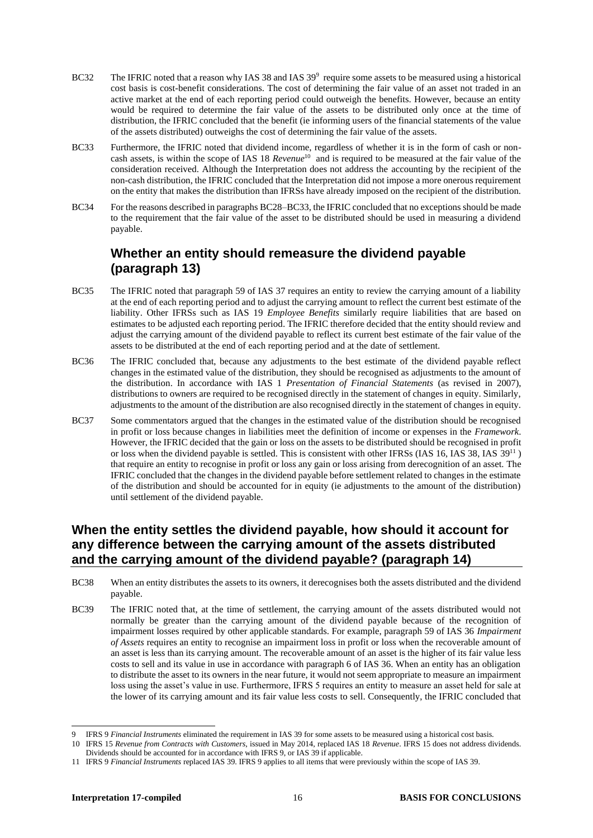- BC32 The IFRIC noted that a reason why IAS 38 and IAS  $39^9$  require some assets to be measured using a historical cost basis is cost-benefit considerations. The cost of determining the fair value of an asset not traded in an active market at the end of each reporting period could outweigh the benefits. However, because an entity would be required to determine the fair value of the assets to be distributed only once at the time of distribution, the IFRIC concluded that the benefit (ie informing users of the financial statements of the value of the assets distributed) outweighs the cost of determining the fair value of the assets.
- BC33 Furthermore, the IFRIC noted that dividend income, regardless of whether it is in the form of cash or noncash assets, is within the scope of IAS 18 *Revenue*<sup>10</sup> and is required to be measured at the fair value of the consideration received. Although the Interpretation does not address the accounting by the recipient of the non-cash distribution, the IFRIC concluded that the Interpretation did not impose a more onerous requirement on the entity that makes the distribution than IFRSs have already imposed on the recipient of the distribution.
- BC34 For the reasons described in paragraphs BC28–BC33, the IFRIC concluded that no exceptions should be made to the requirement that the fair value of the asset to be distributed should be used in measuring a dividend payable.

#### **Whether an entity should remeasure the dividend payable (paragraph 13)**

- BC35 The IFRIC noted that paragraph 59 of IAS 37 requires an entity to review the carrying amount of a liability at the end of each reporting period and to adjust the carrying amount to reflect the current best estimate of the liability. Other IFRSs such as IAS 19 *Employee Benefits* similarly require liabilities that are based on estimates to be adjusted each reporting period. The IFRIC therefore decided that the entity should review and adjust the carrying amount of the dividend payable to reflect its current best estimate of the fair value of the assets to be distributed at the end of each reporting period and at the date of settlement.
- BC36 The IFRIC concluded that, because any adjustments to the best estimate of the dividend payable reflect changes in the estimated value of the distribution, they should be recognised as adjustments to the amount of the distribution. In accordance with IAS 1 *Presentation of Financial Statements* (as revised in 2007), distributions to owners are required to be recognised directly in the statement of changes in equity. Similarly, adjustments to the amount of the distribution are also recognised directly in the statement of changes in equity.
- BC37 Some commentators argued that the changes in the estimated value of the distribution should be recognised in profit or loss because changes in liabilities meet the definition of income or expenses in the *Framework*. However, the IFRIC decided that the gain or loss on the assets to be distributed should be recognised in profit or loss when the dividend payable is settled. This is consistent with other IFRSs (IAS 16, IAS 38, IAS  $39^{11}$ ) that require an entity to recognise in profit or loss any gain or loss arising from derecognition of an asset. The IFRIC concluded that the changes in the dividend payable before settlement related to changes in the estimate of the distribution and should be accounted for in equity (ie adjustments to the amount of the distribution) until settlement of the dividend payable.

#### **When the entity settles the dividend payable, how should it account for any difference between the carrying amount of the assets distributed and the carrying amount of the dividend payable? (paragraph 14)**

- BC38 When an entity distributes the assets to its owners, it derecognises both the assets distributed and the dividend payable.
- BC39 The IFRIC noted that, at the time of settlement, the carrying amount of the assets distributed would not normally be greater than the carrying amount of the dividend payable because of the recognition of impairment losses required by other applicable standards. For example, paragraph 59 of IAS 36 *Impairment of Assets* requires an entity to recognise an impairment loss in profit or loss when the recoverable amount of an asset is less than its carrying amount. The recoverable amount of an asset is the higher of its fair value less costs to sell and its value in use in accordance with paragraph 6 of IAS 36. When an entity has an obligation to distribute the asset to its owners in the near future, it would not seem appropriate to measure an impairment loss using the asset's value in use. Furthermore, IFRS 5 requires an entity to measure an asset held for sale at the lower of its carrying amount and its fair value less costs to sell. Consequently, the IFRIC concluded that

<sup>9</sup> IFRS 9 *Financial Instruments* eliminated the requirement in IAS 39 for some assets to be measured using a historical cost basis. 10 IFRS 15 *Revenue from Contracts with Customers*, issued in May 2014, replaced IAS 18 *Revenue*. IFRS 15 does not address dividends.

Dividends should be accounted for in accordance with IFRS 9, or IAS 39 if applicable.

<sup>11</sup> IFRS 9 *Financial Instruments* replaced IAS 39. IFRS 9 applies to all items that were previously within the scope of IAS 39.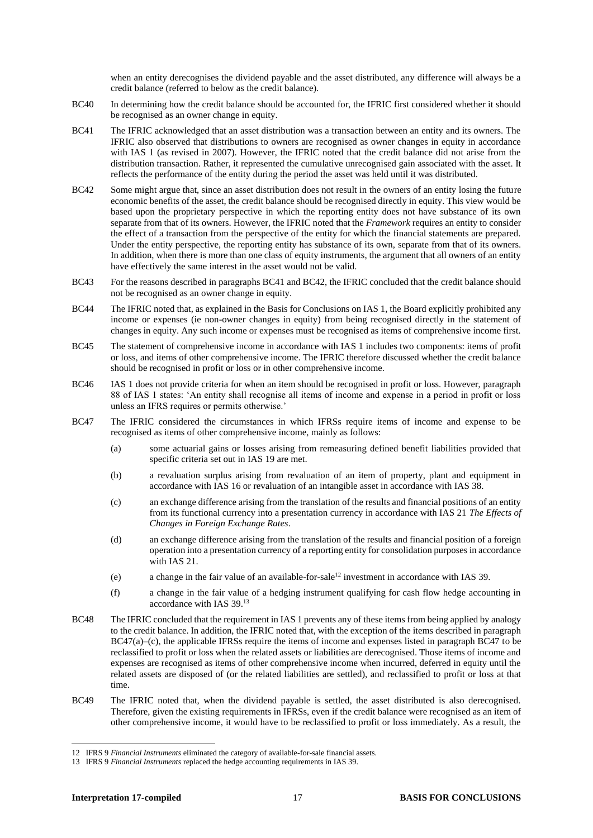when an entity derecognises the dividend payable and the asset distributed, any difference will always be a credit balance (referred to below as the credit balance).

- BC40 In determining how the credit balance should be accounted for, the IFRIC first considered whether it should be recognised as an owner change in equity.
- BC41 The IFRIC acknowledged that an asset distribution was a transaction between an entity and its owners. The IFRIC also observed that distributions to owners are recognised as owner changes in equity in accordance with IAS 1 (as revised in 2007). However, the IFRIC noted that the credit balance did not arise from the distribution transaction. Rather, it represented the cumulative unrecognised gain associated with the asset. It reflects the performance of the entity during the period the asset was held until it was distributed.
- BC42 Some might argue that, since an asset distribution does not result in the owners of an entity losing the future economic benefits of the asset, the credit balance should be recognised directly in equity. This view would be based upon the proprietary perspective in which the reporting entity does not have substance of its own separate from that of its owners. However, the IFRIC noted that the *Framework* requires an entity to consider the effect of a transaction from the perspective of the entity for which the financial statements are prepared. Under the entity perspective, the reporting entity has substance of its own, separate from that of its owners. In addition, when there is more than one class of equity instruments, the argument that all owners of an entity have effectively the same interest in the asset would not be valid.
- BC43 For the reasons described in paragraphs BC41 and BC42, the IFRIC concluded that the credit balance should not be recognised as an owner change in equity.
- BC44 The IFRIC noted that, as explained in the Basis for Conclusions on IAS 1, the Board explicitly prohibited any income or expenses (ie non-owner changes in equity) from being recognised directly in the statement of changes in equity. Any such income or expenses must be recognised as items of comprehensive income first.
- BC45 The statement of comprehensive income in accordance with IAS 1 includes two components: items of profit or loss, and items of other comprehensive income. The IFRIC therefore discussed whether the credit balance should be recognised in profit or loss or in other comprehensive income.
- BC46 IAS 1 does not provide criteria for when an item should be recognised in profit or loss. However, paragraph 88 of IAS 1 states: 'An entity shall recognise all items of income and expense in a period in profit or loss unless an IFRS requires or permits otherwise.'
- BC47 The IFRIC considered the circumstances in which IFRSs require items of income and expense to be recognised as items of other comprehensive income, mainly as follows:
	- (a) some actuarial gains or losses arising from remeasuring defined benefit liabilities provided that specific criteria set out in IAS 19 are met.
	- (b) a revaluation surplus arising from revaluation of an item of property, plant and equipment in accordance with IAS 16 or revaluation of an intangible asset in accordance with IAS 38.
	- (c) an exchange difference arising from the translation of the results and financial positions of an entity from its functional currency into a presentation currency in accordance with IAS 21 *The Effects of Changes in Foreign Exchange Rates*.
	- (d) an exchange difference arising from the translation of the results and financial position of a foreign operation into a presentation currency of a reporting entity for consolidation purposes in accordance with IAS 21.
	- (e) a change in the fair value of an available-for-sale<sup>12</sup> investment in accordance with IAS 39.
	- (f) a change in the fair value of a hedging instrument qualifying for cash flow hedge accounting in accordance with IAS 39.<sup>13</sup>
- BC48 The IFRIC concluded that the requirement in IAS 1 prevents any of these items from being applied by analogy to the credit balance. In addition, the IFRIC noted that, with the exception of the items described in paragraph BC47(a)–(c), the applicable IFRSs require the items of income and expenses listed in paragraph BC47 to be reclassified to profit or loss when the related assets or liabilities are derecognised. Those items of income and expenses are recognised as items of other comprehensive income when incurred, deferred in equity until the related assets are disposed of (or the related liabilities are settled), and reclassified to profit or loss at that time.
- BC49 The IFRIC noted that, when the dividend payable is settled, the asset distributed is also derecognised. Therefore, given the existing requirements in IFRSs, even if the credit balance were recognised as an item of other comprehensive income, it would have to be reclassified to profit or loss immediately. As a result, the

<sup>12</sup> IFRS 9 *Financial Instruments* eliminated the category of available-for-sale financial assets.

<sup>13</sup> IFRS 9 *Financial Instruments* replaced the hedge accounting requirements in IAS 39.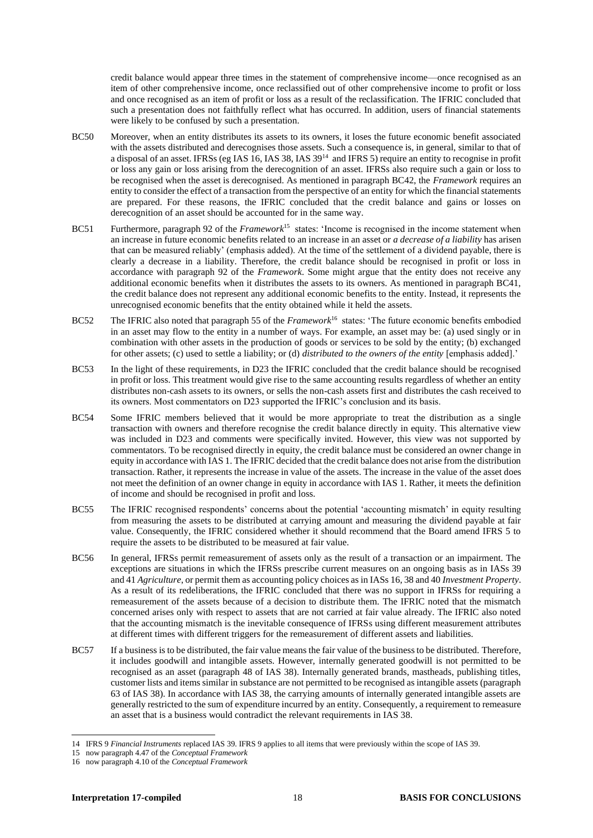credit balance would appear three times in the statement of comprehensive income—once recognised as an item of other comprehensive income, once reclassified out of other comprehensive income to profit or loss and once recognised as an item of profit or loss as a result of the reclassification. The IFRIC concluded that such a presentation does not faithfully reflect what has occurred. In addition, users of financial statements were likely to be confused by such a presentation.

- BC50 Moreover, when an entity distributes its assets to its owners, it loses the future economic benefit associated with the assets distributed and derecognises those assets. Such a consequence is, in general, similar to that of a disposal of an asset. IFRSs (eg IAS 16, IAS 38, IAS 39<sup>14</sup> and IFRS 5) require an entity to recognise in profit or loss any gain or loss arising from the derecognition of an asset. IFRSs also require such a gain or loss to be recognised when the asset is derecognised. As mentioned in paragraph BC42, the *Framework* requires an entity to consider the effect of a transaction from the perspective of an entity for which the financial statements are prepared. For these reasons, the IFRIC concluded that the credit balance and gains or losses on derecognition of an asset should be accounted for in the same way.
- BC51 Furthermore, paragraph 92 of the  $Framework^{15}$  states: 'Income is recognised in the income statement when an increase in future economic benefits related to an increase in an asset or *a decrease of a liability* has arisen that can be measured reliably' (emphasis added). At the time of the settlement of a dividend payable, there is clearly a decrease in a liability. Therefore, the credit balance should be recognised in profit or loss in accordance with paragraph 92 of the *Framework*. Some might argue that the entity does not receive any additional economic benefits when it distributes the assets to its owners. As mentioned in paragraph BC41, the credit balance does not represent any additional economic benefits to the entity. Instead, it represents the unrecognised economic benefits that the entity obtained while it held the assets.
- BC52 The IFRIC also noted that paragraph 55 of the *Framework*<sup>16</sup> states: 'The future economic benefits embodied in an asset may flow to the entity in a number of ways. For example, an asset may be: (a) used singly or in combination with other assets in the production of goods or services to be sold by the entity; (b) exchanged for other assets; (c) used to settle a liability; or (d) *distributed to the owners of the entity* [emphasis added].'
- BC53 In the light of these requirements, in D23 the IFRIC concluded that the credit balance should be recognised in profit or loss. This treatment would give rise to the same accounting results regardless of whether an entity distributes non-cash assets to its owners, or sells the non-cash assets first and distributes the cash received to its owners. Most commentators on D23 supported the IFRIC's conclusion and its basis.
- BC54 Some IFRIC members believed that it would be more appropriate to treat the distribution as a single transaction with owners and therefore recognise the credit balance directly in equity. This alternative view was included in D23 and comments were specifically invited. However, this view was not supported by commentators. To be recognised directly in equity, the credit balance must be considered an owner change in equity in accordance with IAS 1. The IFRIC decided that the credit balance does not arise from the distribution transaction. Rather, it represents the increase in value of the assets. The increase in the value of the asset does not meet the definition of an owner change in equity in accordance with IAS 1. Rather, it meets the definition of income and should be recognised in profit and loss.
- BC55 The IFRIC recognised respondents' concerns about the potential 'accounting mismatch' in equity resulting from measuring the assets to be distributed at carrying amount and measuring the dividend payable at fair value. Consequently, the IFRIC considered whether it should recommend that the Board amend IFRS 5 to require the assets to be distributed to be measured at fair value.
- BC56 In general, IFRSs permit remeasurement of assets only as the result of a transaction or an impairment. The exceptions are situations in which the IFRSs prescribe current measures on an ongoing basis as in IASs 39 and 41 *Agriculture*, or permit them as accounting policy choices as in IASs 16, 38 and 40 *Investment Property*. As a result of its redeliberations, the IFRIC concluded that there was no support in IFRSs for requiring a remeasurement of the assets because of a decision to distribute them. The IFRIC noted that the mismatch concerned arises only with respect to assets that are not carried at fair value already. The IFRIC also noted that the accounting mismatch is the inevitable consequence of IFRSs using different measurement attributes at different times with different triggers for the remeasurement of different assets and liabilities.
- BC57 If a business is to be distributed, the fair value means the fair value of the business to be distributed. Therefore, it includes goodwill and intangible assets. However, internally generated goodwill is not permitted to be recognised as an asset (paragraph 48 of IAS 38). Internally generated brands, mastheads, publishing titles, customer lists and items similar in substance are not permitted to be recognised as intangible assets (paragraph 63 of IAS 38). In accordance with IAS 38, the carrying amounts of internally generated intangible assets are generally restricted to the sum of expenditure incurred by an entity. Consequently, a requirement to remeasure an asset that is a business would contradict the relevant requirements in IAS 38.

<sup>14</sup> IFRS 9 *Financial Instruments* replaced IAS 39. IFRS 9 applies to all items that were previously within the scope of IAS 39.

<sup>15</sup> now paragraph 4.47 of the *Conceptual Framework*

<sup>16</sup> now paragraph 4.10 of the *Conceptual Framework*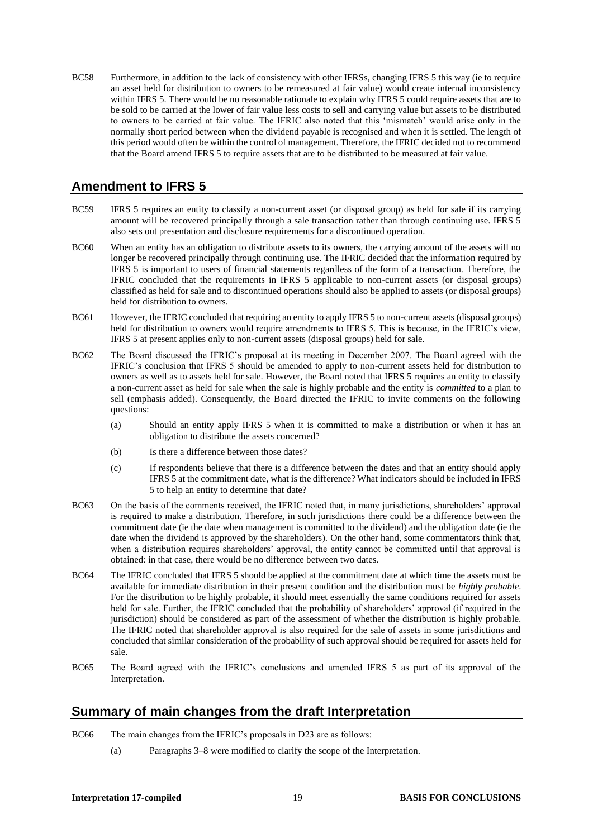BC58 Furthermore, in addition to the lack of consistency with other IFRSs, changing IFRS 5 this way (ie to require an asset held for distribution to owners to be remeasured at fair value) would create internal inconsistency within IFRS 5. There would be no reasonable rationale to explain why IFRS 5 could require assets that are to be sold to be carried at the lower of fair value less costs to sell and carrying value but assets to be distributed to owners to be carried at fair value. The IFRIC also noted that this 'mismatch' would arise only in the normally short period between when the dividend payable is recognised and when it is settled. The length of this period would often be within the control of management. Therefore, the IFRIC decided not to recommend that the Board amend IFRS 5 to require assets that are to be distributed to be measured at fair value.

#### **Amendment to IFRS 5**

- BC59 IFRS 5 requires an entity to classify a non-current asset (or disposal group) as held for sale if its carrying amount will be recovered principally through a sale transaction rather than through continuing use. IFRS 5 also sets out presentation and disclosure requirements for a discontinued operation.
- BC60 When an entity has an obligation to distribute assets to its owners, the carrying amount of the assets will no longer be recovered principally through continuing use. The IFRIC decided that the information required by IFRS 5 is important to users of financial statements regardless of the form of a transaction. Therefore, the IFRIC concluded that the requirements in IFRS 5 applicable to non-current assets (or disposal groups) classified as held for sale and to discontinued operations should also be applied to assets (or disposal groups) held for distribution to owners.
- BC61 However, the IFRIC concluded that requiring an entity to apply IFRS 5 to non-current assets (disposal groups) held for distribution to owners would require amendments to IFRS 5. This is because, in the IFRIC's view, IFRS 5 at present applies only to non-current assets (disposal groups) held for sale.
- BC62 The Board discussed the IFRIC's proposal at its meeting in December 2007. The Board agreed with the IFRIC's conclusion that IFRS 5 should be amended to apply to non-current assets held for distribution to owners as well as to assets held for sale. However, the Board noted that IFRS 5 requires an entity to classify a non-current asset as held for sale when the sale is highly probable and the entity is *committed* to a plan to sell (emphasis added). Consequently, the Board directed the IFRIC to invite comments on the following questions:
	- (a) Should an entity apply IFRS 5 when it is committed to make a distribution or when it has an obligation to distribute the assets concerned?
	- (b) Is there a difference between those dates?
	- (c) If respondents believe that there is a difference between the dates and that an entity should apply IFRS 5 at the commitment date, what is the difference? What indicators should be included in IFRS 5 to help an entity to determine that date?
- BC63 On the basis of the comments received, the IFRIC noted that, in many jurisdictions, shareholders' approval is required to make a distribution. Therefore, in such jurisdictions there could be a difference between the commitment date (ie the date when management is committed to the dividend) and the obligation date (ie the date when the dividend is approved by the shareholders). On the other hand, some commentators think that, when a distribution requires shareholders' approval, the entity cannot be committed until that approval is obtained: in that case, there would be no difference between two dates.
- BC64 The IFRIC concluded that IFRS 5 should be applied at the commitment date at which time the assets must be available for immediate distribution in their present condition and the distribution must be *highly probable*. For the distribution to be highly probable, it should meet essentially the same conditions required for assets held for sale. Further, the IFRIC concluded that the probability of shareholders' approval (if required in the jurisdiction) should be considered as part of the assessment of whether the distribution is highly probable. The IFRIC noted that shareholder approval is also required for the sale of assets in some jurisdictions and concluded that similar consideration of the probability of such approval should be required for assets held for sale.
- BC65 The Board agreed with the IFRIC's conclusions and amended IFRS 5 as part of its approval of the Interpretation.

#### **Summary of main changes from the draft Interpretation**

- BC66 The main changes from the IFRIC's proposals in D23 are as follows:
	- (a) Paragraphs 3–8 were modified to clarify the scope of the Interpretation.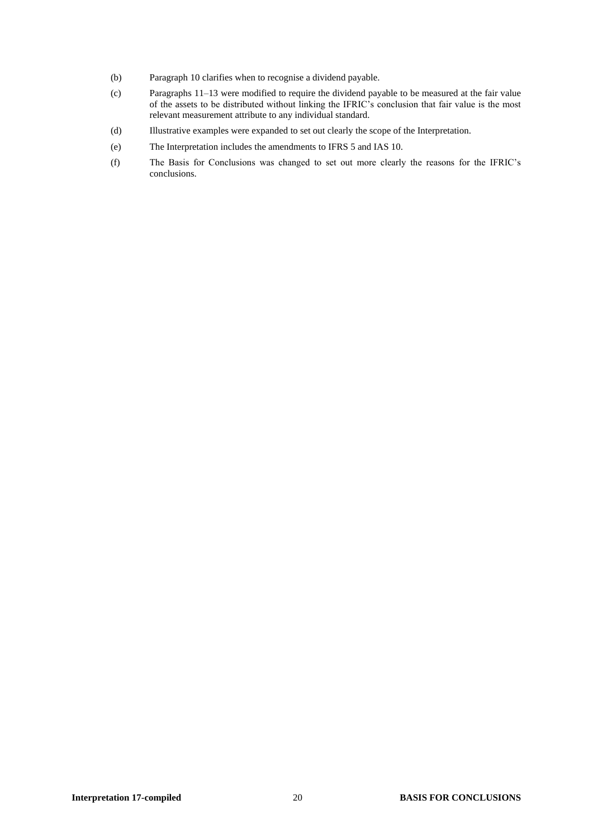- (b) Paragraph 10 clarifies when to recognise a dividend payable.
- (c) Paragraphs 11–13 were modified to require the dividend payable to be measured at the fair value of the assets to be distributed without linking the IFRIC's conclusion that fair value is the most relevant measurement attribute to any individual standard.
- (d) Illustrative examples were expanded to set out clearly the scope of the Interpretation.
- (e) The Interpretation includes the amendments to IFRS 5 and IAS 10.
- (f) The Basis for Conclusions was changed to set out more clearly the reasons for the IFRIC's conclusions.